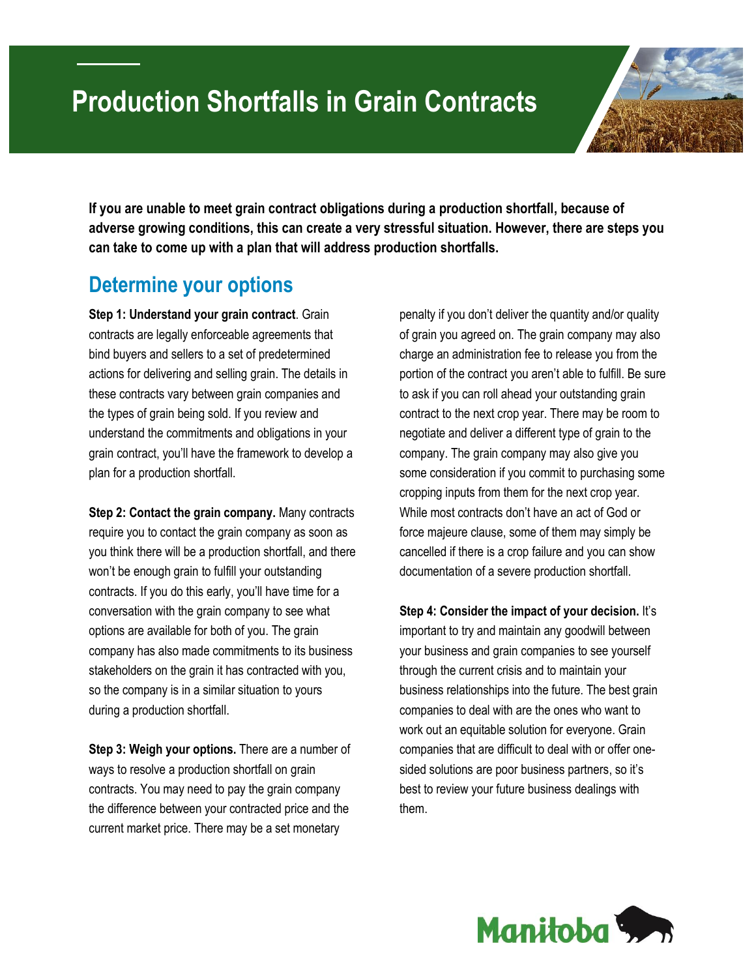

**If you are unable to meet grain contract obligations during a production shortfall, because of adverse growing conditions, this can create a very stressful situation. However, there are steps you can take to come up with a plan that will address production shortfalls.**

## **Determine your options**

**Step 1: Understand your grain contract**. Grain contracts are legally enforceable agreements that bind buyers and sellers to a set of predetermined actions for delivering and selling grain. The details in these contracts vary between grain companies and the types of grain being sold. If you review and understand the commitments and obligations in your grain contract, you'll have the framework to develop a plan for a production shortfall.

**Step 2: Contact the grain company.** Many contracts require you to contact the grain company as soon as you think there will be a production shortfall, and there won't be enough grain to fulfill your outstanding contracts. If you do this early, you'll have time for a conversation with the grain company to see what options are available for both of you. The grain company has also made commitments to its business stakeholders on the grain it has contracted with you, so the company is in a similar situation to yours during a production shortfall.

**Step 3: Weigh your options.** There are a number of ways to resolve a production shortfall on grain contracts. You may need to pay the grain company the difference between your contracted price and the current market price. There may be a set monetary

penalty if you don't deliver the quantity and/or quality of grain you agreed on. The grain company may also charge an administration fee to release you from the portion of the contract you aren't able to fulfill. Be sure to ask if you can roll ahead your outstanding grain contract to the next crop year. There may be room to negotiate and deliver a different type of grain to the company. The grain company may also give you some consideration if you commit to purchasing some cropping inputs from them for the next crop year. While most contracts don't have an act of God or force majeure clause, some of them may simply be cancelled if there is a crop failure and you can show documentation of a severe production shortfall.

**Step 4: Consider the impact of your decision.** It's important to try and maintain any goodwill between your business and grain companies to see yourself through the current crisis and to maintain your business relationships into the future. The best grain companies to deal with are the ones who want to work out an equitable solution for everyone. Grain companies that are difficult to deal with or offer onesided solutions are poor business partners, so it's best to review your future business dealings with them.